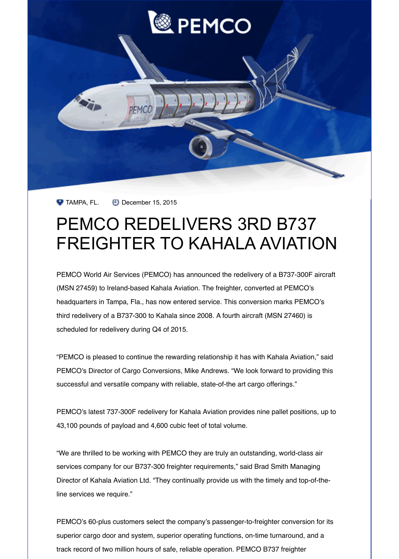

 $\bullet$  TAMPA, FL.  $\bullet$  December 15, 2015

## PEMCO REDELIVERS 3RD B737 [FREIGHTER TO KAHALA AVIATION](http://email.paradiseadv.com/t/r-l-vnzjd-dijhgdlut-u/)

PEMCO World Air Services (PEMCO) has announced the redelivery of a B737-300F aircraft (MSN 27459) to Ireland-based Kahala Aviation. The freighter, converted at PEMCO's headquarters in Tampa, Fla., has now entered service. This conversion marks PEMCO's third redelivery of a B737-300 to Kahala since 2008. A fourth aircraft (MSN 27460) is scheduled for redelivery during Q4 of 2015.

"PEMCO is pleased to continue the rewarding relationship it has with Kahala Aviation," said PEMCO's Director of Cargo Conversions, Mike Andrews. "We look forward to providing this successful and versatile company with reliable, state-of-the art cargo offerings."

PEMCO's latest 737-300F redelivery for Kahala Aviation provides nine pallet positions, up to 43,100 pounds of payload and 4,600 cubic feet of total volume.

"We are thrilled to be working with PEMCO they are truly an outstanding, world-class air services company for our B737-300 freighter requirements," said Brad Smith Managing Director of Kahala Aviation Ltd. "They continually provide us with the timely and top-of-theline services we require."

PEMCO's 60-plus customers select the company's passenger-to-freighter conversion for its superior cargo door and system, superior operating functions, on-time turnaround, and a track record of two million hours of safe, reliable operation. PEMCO B737 freighter